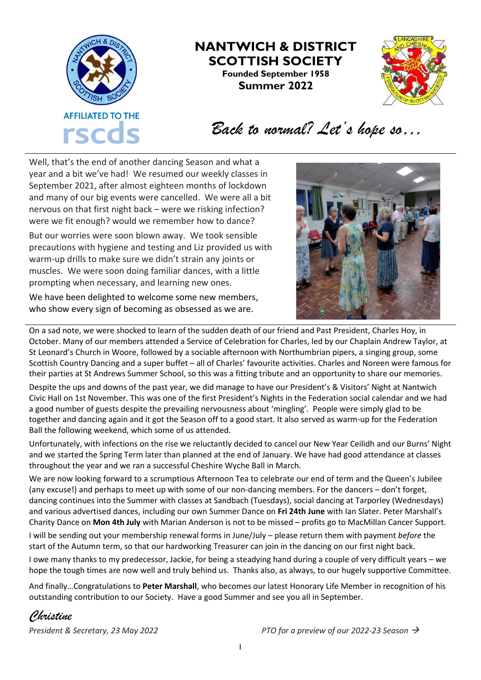

## **NANTWICH & DISTRICT SCOTTISH SOCIETY Founded September 1958 Summer 2022**



## *Back to normal? Let's hope so…*

Well, that's the end of another dancing Season and what a year and a bit we've had! We resumed our weekly classes in September 2021, after almost eighteen months of lockdown and many of our big events were cancelled. We were all a bit nervous on that first night back – were we risking infection? were we fit enough? would we remember how to dance? But our worries were soon blown away. We took sensible precautions with hygiene and testing and Liz provided us with warm-up drills to make sure we didn't strain any joints or muscles. We were soon doing familiar dances, with a little prompting when necessary, and learning new ones.

We have been delighted to welcome some new members, who show every sign of becoming as obsessed as we are.



On a sad note, we were shocked to learn of the sudden death of our friend and Past President, Charles Hoy, in October. Many of our members attended a Service of Celebration for Charles, led by our Chaplain Andrew Taylor, at St Leonard's Church in Woore, followed by a sociable afternoon with Northumbrian pipers, a singing group, some Scottish Country Dancing and a super buffet – all of Charles' favourite activities. Charles and Noreen were famous for their parties at St Andrews Summer School, so this was a fitting tribute and an opportunity to share our memories.

Despite the ups and downs of the past year, we did manage to have our President's & Visitors' Night at Nantwich Civic Hall on 1st November. This was one of the first President's Nights in the Federation social calendar and we had a good number of guests despite the prevailing nervousness about 'mingling'. People were simply glad to be together and dancing again and it got the Season off to a good start. It also served as warm-up for the Federation Ball the following weekend, which some of us attended.

Unfortunately, with infections on the rise we reluctantly decided to cancel our New Year Ceilidh and our Burns' Night and we started the Spring Term later than planned at the end of January. We have had good attendance at classes throughout the year and we ran a successful Cheshire Wyche Ball in March.

We are now looking forward to a scrumptious Afternoon Tea to celebrate our end of term and the Queen's Jubilee (any excuse!) and perhaps to meet up with some of our non-dancing members. For the dancers – don't forget, dancing continues into the Summer with classes at Sandbach (Tuesdays), social dancing at Tarporley (Wednesdays) and various advertised dances, including our own Summer Dance on **Fri 24th June** with Ian Slater. Peter Marshall's Charity Dance on **Mon 4th July** with Marian Anderson is not to be missed – profits go to MacMillan Cancer Support.

I will be sending out your membership renewal forms in June/July – please return them with payment *before* the start of the Autumn term, so that our hardworking Treasurer can join in the dancing on our first night back.

I owe many thanks to my predecessor, Jackie, for being a steadying hand during a couple of very difficult years – we hope the tough times are now well and truly behind us. Thanks also, as always, to our hugely supportive Committee.

And finally…Congratulations to **Peter Marshall**, who becomes our latest Honorary Life Member in recognition of his outstanding contribution to our Society. Have a good Summer and see you all in September.

*Christine*

*President & Secretary, 23 May 2022 PTO for a preview of our 2022-23 Season* →